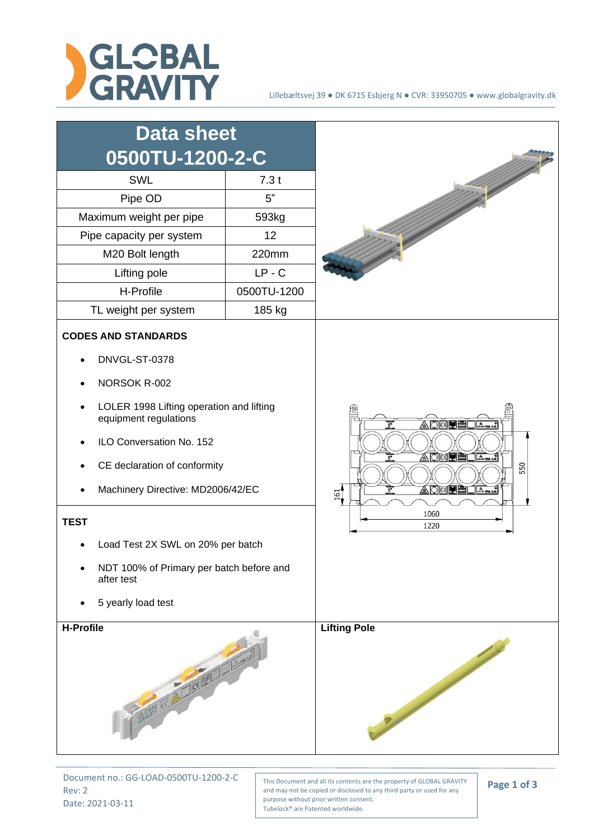



Document no.: GG-LOAD-0500TU-1200-2-C Rev: 2 Date: 2021-03-11

This Document and all its contents are the property of GLOBAL GRAVITY and may not be copied or disclosed to any third party or used for any purpose without prior written consent. Tubelock® are Patented worldwide.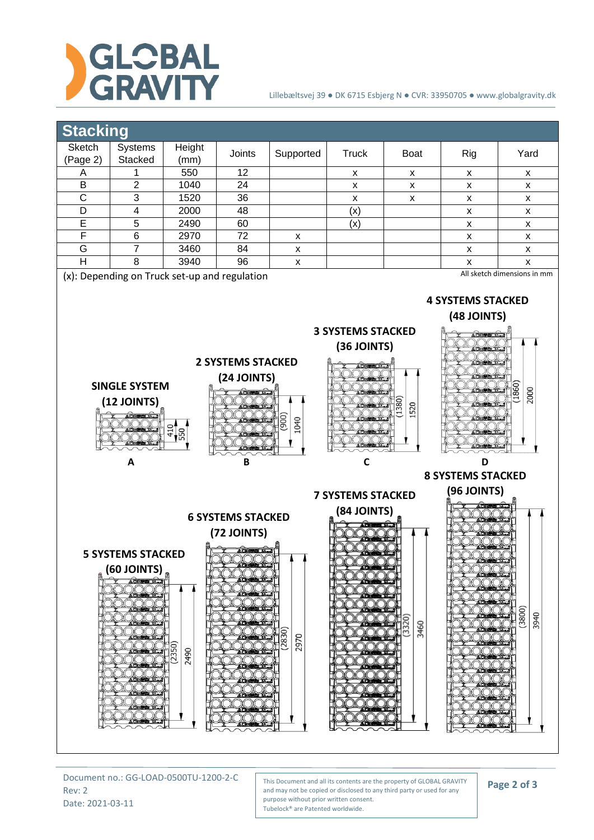

## Lillebæltsvej 39 ● DK 6715 Esbjerg N ● CVR: 33950705 ● www.globalgravity.dk



Document no.: GG-LOAD-0500TU-1200-2-C Rev: 2 Date: 2021-03-11

This Document and all its contents are the property of GLOBAL GRAVITY and may not be copied or disclosed to any third party or used for any purpose without prior written consent. Tubelock® are Patented worldwide.

**Page 2 of 3**